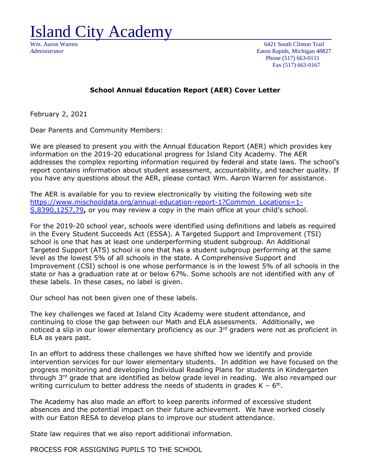Island City Academy

Wm. Aaron Warren 6421 South Clinton Trail *Administrator* Eaton Rapids, Michigan 48827 Phone (517) 663-0111 Fax (517) 663-0167

### **School Annual Education Report (AER) Cover Letter**

February 2, 2021

Dear Parents and Community Members:

We are pleased to present you with the Annual Education Report (AER) which provides key information on the 2019-20 educational progress for Island City Academy. The AER addresses the complex reporting information required by federal and state laws. The school's report contains information about student assessment, accountability, and teacher quality. If you have any questions about the AER, please contact Wm. Aaron Warren for assistance.

The AER is available for you to review electronically by visiting the following web site [https://www.mischooldata.org/annual-education-report-1?Common\\_Locations=1-](https://www.mischooldata.org/annual-education-report-1?Common_Locations=1-S,8390,1257,79) [S,8390,1257,79](https://www.mischooldata.org/annual-education-report-1?Common_Locations=1-S,8390,1257,79)**,** or you may review a copy in the main office at your child's school.

For the 2019-20 school year, schools were identified using definitions and labels as required in the Every Student Succeeds Act (ESSA). A Targeted Support and Improvement (TSI) school is one that has at least one underperforming student subgroup. An Additional Targeted Support (ATS) school is one that has a student subgroup performing at the same level as the lowest 5% of all schools in the state. A Comprehensive Support and Improvement (CSI) school is one whose performance is in the lowest 5% of all schools in the state or has a graduation rate at or below 67%. Some schools are not identified with any of these labels. In these cases, no label is given.

Our school has not been given one of these labels.

The key challenges we faced at Island City Academy were student attendance, and continuing to close the gap between our Math and ELA assessments. Additionally, we noticed a slip in our lower elementary proficiency as our 3rd graders were not as proficient in ELA as years past.

In an effort to address these challenges we have shifted how we identify and provide intervention services for our lower elementary students. In addition we have focused on the progress monitoring and developing Individual Reading Plans for students in Kindergarten through 3<sup>rd</sup> grade that are identified as below grade level in reading. We also revamped our writing curriculum to better address the needs of students in grades  $K - 6<sup>th</sup>$ .

The Academy has also made an effort to keep parents informed of excessive student absences and the potential impact on their future achievement. We have worked closely with our Eaton RESA to develop plans to improve our student attendance.

State law requires that we also report additional information.

PROCESS FOR ASSIGNING PUPILS TO THE SCHOOL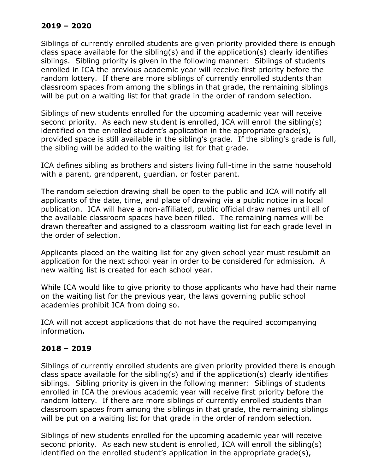# **2019 – 2020**

Siblings of currently enrolled students are given priority provided there is enough class space available for the sibling(s) and if the application(s) clearly identifies siblings. Sibling priority is given in the following manner: Siblings of students enrolled in ICA the previous academic year will receive first priority before the random lottery. If there are more siblings of currently enrolled students than classroom spaces from among the siblings in that grade, the remaining siblings will be put on a waiting list for that grade in the order of random selection.

Siblings of new students enrolled for the upcoming academic year will receive second priority. As each new student is enrolled, ICA will enroll the sibling(s) identified on the enrolled student's application in the appropriate grade(s), provided space is still available in the sibling's grade. If the sibling's grade is full, the sibling will be added to the waiting list for that grade.

ICA defines sibling as brothers and sisters living full-time in the same household with a parent, grandparent, guardian, or foster parent.

The random selection drawing shall be open to the public and ICA will notify all applicants of the date, time, and place of drawing via a public notice in a local publication. ICA will have a non-affiliated, public official draw names until all of the available classroom spaces have been filled. The remaining names will be drawn thereafter and assigned to a classroom waiting list for each grade level in the order of selection.

Applicants placed on the waiting list for any given school year must resubmit an application for the next school year in order to be considered for admission. A new waiting list is created for each school year.

While ICA would like to give priority to those applicants who have had their name on the waiting list for the previous year, the laws governing public school academies prohibit ICA from doing so.

ICA will not accept applications that do not have the required accompanying information**.**

## **2018 – 2019**

Siblings of currently enrolled students are given priority provided there is enough class space available for the sibling(s) and if the application(s) clearly identifies siblings. Sibling priority is given in the following manner: Siblings of students enrolled in ICA the previous academic year will receive first priority before the random lottery. If there are more siblings of currently enrolled students than classroom spaces from among the siblings in that grade, the remaining siblings will be put on a waiting list for that grade in the order of random selection.

Siblings of new students enrolled for the upcoming academic year will receive second priority. As each new student is enrolled, ICA will enroll the sibling(s) identified on the enrolled student's application in the appropriate grade(s),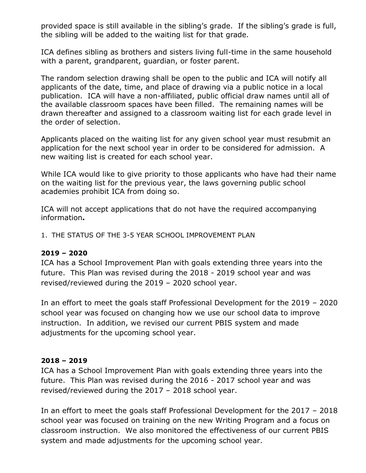provided space is still available in the sibling's grade. If the sibling's grade is full, the sibling will be added to the waiting list for that grade.

ICA defines sibling as brothers and sisters living full-time in the same household with a parent, grandparent, guardian, or foster parent.

The random selection drawing shall be open to the public and ICA will notify all applicants of the date, time, and place of drawing via a public notice in a local publication. ICA will have a non-affiliated, public official draw names until all of the available classroom spaces have been filled. The remaining names will be drawn thereafter and assigned to a classroom waiting list for each grade level in the order of selection.

Applicants placed on the waiting list for any given school year must resubmit an application for the next school year in order to be considered for admission. A new waiting list is created for each school year.

While ICA would like to give priority to those applicants who have had their name on the waiting list for the previous year, the laws governing public school academies prohibit ICA from doing so.

ICA will not accept applications that do not have the required accompanying information**.**

1. THE STATUS OF THE 3-5 YEAR SCHOOL IMPROVEMENT PLAN

### **2019 – 2020**

ICA has a School Improvement Plan with goals extending three years into the future. This Plan was revised during the 2018 - 2019 school year and was revised/reviewed during the 2019 – 2020 school year.

In an effort to meet the goals staff Professional Development for the 2019 – 2020 school year was focused on changing how we use our school data to improve instruction. In addition, we revised our current PBIS system and made adjustments for the upcoming school year.

#### **2018 – 2019**

ICA has a School Improvement Plan with goals extending three years into the future. This Plan was revised during the 2016 - 2017 school year and was revised/reviewed during the 2017 – 2018 school year.

In an effort to meet the goals staff Professional Development for the 2017 – 2018 school year was focused on training on the new Writing Program and a focus on classroom instruction. We also monitored the effectiveness of our current PBIS system and made adjustments for the upcoming school year.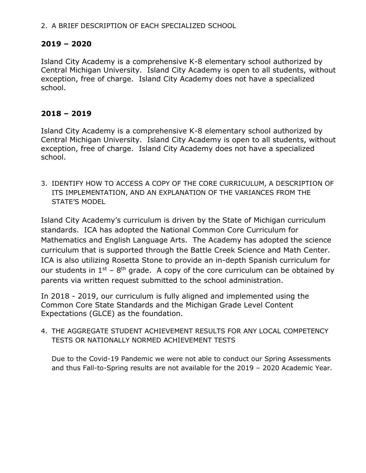#### 2. A BRIEF DESCRIPTION OF EACH SPECIALIZED SCHOOL

### **2019 – 2020**

Island City Academy is a comprehensive K-8 elementary school authorized by Central Michigan University. Island City Academy is open to all students, without exception, free of charge. Island City Academy does not have a specialized school.

### **2018 – 2019**

Island City Academy is a comprehensive K-8 elementary school authorized by Central Michigan University. Island City Academy is open to all students, without exception, free of charge. Island City Academy does not have a specialized school.

3. IDENTIFY HOW TO ACCESS A COPY OF THE CORE CURRICULUM, A DESCRIPTION OF ITS IMPLEMENTATION, AND AN EXPLANATION OF THE VARIANCES FROM THE STATE'S MODEL

Island City Academy's curriculum is driven by the State of Michigan curriculum standards. ICA has adopted the National Common Core Curriculum for Mathematics and English Language Arts. The Academy has adopted the science curriculum that is supported through the Battle Creek Science and Math Center. ICA is also utilizing Rosetta Stone to provide an in-depth Spanish curriculum for our students in  $1^{st}$  –  $8^{th}$  grade. A copy of the core curriculum can be obtained by parents via written request submitted to the school administration.

In 2018 - 2019, our curriculum is fully aligned and implemented using the Common Core State Standards and the Michigan Grade Level Content Expectations (GLCE) as the foundation.

4. THE AGGREGATE STUDENT ACHIEVEMENT RESULTS FOR ANY LOCAL COMPETENCY TESTS OR NATIONALLY NORMED ACHIEVEMENT TESTS

Due to the Covid-19 Pandemic we were not able to conduct our Spring Assessments and thus Fall-to-Spring results are not available for the 2019 – 2020 Academic Year.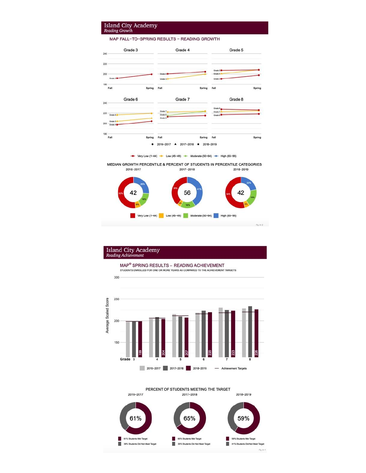# **Island City Academy**<br>Reading Growth

MAP FALL-TO-SPRING RESULTS - READING GROWTH



Very Low (1-44) - Low (45-49) - Moderate (50-64) - High (65-99)

MEDIAN GROWTH PERCENTILE & PERCENT OF STUDENTS IN PERCENTILE CATEGORIES 2016-2017 2017-2018 2018-2019



# **Island City Academy**<br>Reading Achievement

300





#### PERCENT OF STUDENTS MEETING THE TARGET

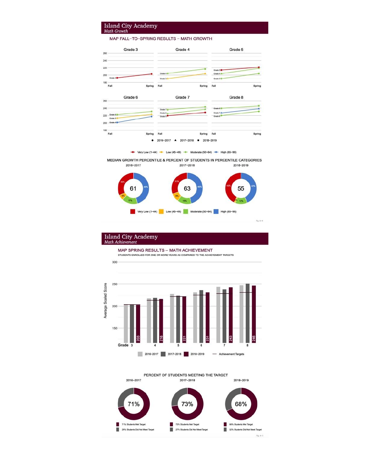# **Island City Academy**<br>Math Growth

MAP FALL-TO-SPRING RESULTS - MATH GROWTH



Very Low (1-44) - Low (45-49) - Moderate (50-64) - High (65-99)

MEDIAN GROWTH PERCENTILE & PERCENT OF STUDENTS IN PERCENTILE CATEGORIES 2016-2017 2017-2018 2018-2019



# Island City Academy<br>Math Achievement

300

MAP SPRING RESULTS - MATH ACHIEVEMENT STUDENTS ENROLLED FOR ONE OR MORE YEARS AS COMPARED TO THE ACHIEVEMENT TARGETS



PERCENT OF STUDENTS MEETING THE TARGET 2016-2017 2017-2018 2018-2019